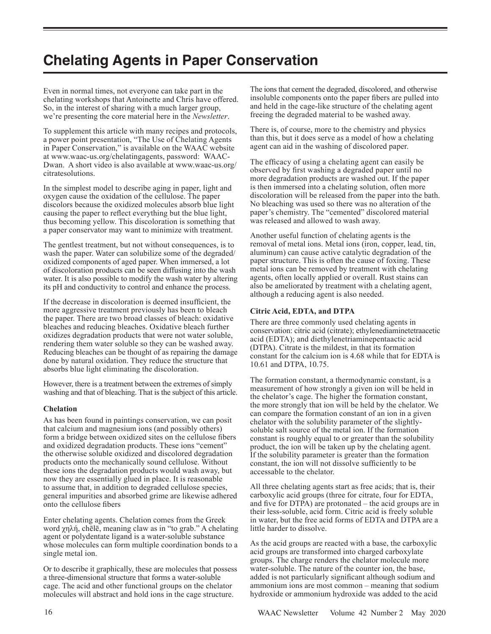# **Chelating Agents in Paper Conservation**

Even in normal times, not everyone can take part in the chelating workshops that Antoinette and Chris have offered. So, in the interest of sharing with a much larger group, we're presenting the core material here in the *Newsletter*.

To supplement this article with many recipes and protocols, a power point presentation, "The Use of Chelating Agents in Paper Conservation," is available on the WAAC website at www.waac-us.org/chelatingagents, password: WAAC-Dwan. A short video is also available at www.waac-us.org/ citratesolutions.

In the simplest model to describe aging in paper, light and oxygen cause the oxidation of the cellulose. The paper discolors because the oxidized molecules absorb blue light causing the paper to reflect everything but the blue light, thus becoming yellow. This discoloration is something that a paper conservator may want to minimize with treatment.

The gentlest treatment, but not without consequences, is to wash the paper. Water can solubilize some of the degraded/ oxidized components of aged paper. When immersed, a lot of discoloration products can be seen diffusing into the wash water. It is also possible to modify the wash water by altering its pH and conductivity to control and enhance the process.

If the decrease in discoloration is deemed insufficient, the more aggressive treatment previously has been to bleach the paper. There are two broad classes of bleach: oxidative bleaches and reducing bleaches. Oxidative bleach further oxidizes degradation products that were not water soluble, rendering them water soluble so they can be washed away. Reducing bleaches can be thought of as repairing the damage done by natural oxidation. They reduce the structure that absorbs blue light eliminating the discoloration.

However, there is a treatment between the extremes of simply washing and that of bleaching. That is the subject of this article.

## **Chelation**

As has been found in paintings conservation, we can posit that calcium and magnesium ions (and possibly others) form a bridge between oxidized sites on the cellulose fibers and oxidized degradation products. These ions "cement" the otherwise soluble oxidized and discolored degradation products onto the mechanically sound cellulose. Without these ions the degradation products would wash away, but now they are essentially glued in place. It is reasonable to assume that, in addition to degraded cellulose species, general impurities and absorbed grime are likewise adhered onto the cellulose fibers

Enter chelating agents. Chelation comes from the Greek word χηλή, chēlē, meaning claw as in "to grab." A chelating agent or polydentate ligand is a water-soluble substance whose molecules can form multiple coordination bonds to a single metal ion.

Or to describe it graphically, these are molecules that possess a three-dimensional structure that forms a water-soluble cage. The acid and other functional groups on the chelator molecules will abstract and hold ions in the cage structure.

The ions that cement the degraded, discolored, and otherwise insoluble components onto the paper fibers are pulled into and held in the cage-like structure of the chelating agent freeing the degraded material to be washed away.

There is, of course, more to the chemistry and physics than this, but it does serve as a model of how a chelating agent can aid in the washing of discolored paper.

The efficacy of using a chelating agent can easily be observed by first washing a degraded paper until no more degradation products are washed out. If the paper is then immersed into a chelating solution, often more discoloration will be released from the paper into the bath. No bleaching was used so there was no alteration of the paper's chemistry. The "cemented" discolored material was released and allowed to wash away.

Another useful function of chelating agents is the removal of metal ions. Metal ions (iron, copper, lead, tin, aluminum) can cause active catalytic degradation of the paper structure. This is often the cause of foxing. These metal ions can be removed by treatment with chelating agents, often locally applied or overall. Rust stains can also be ameliorated by treatment with a chelating agent, although a reducing agent is also needed.

## **Citric Acid, EDTA, and DTPA**

There are three commonly used chelating agents in conservation: citric acid (citrate); ethylenediaminetetraacetic acid (EDTA); and diethylenetriaminepentaactic acid (DTPA). Citrate is the mildest, in that its formation constant for the calcium ion is 4.68 while that for EDTA is 10.61 and DTPA, 10.75.

The formation constant, a thermodynamic constant, is a measurement of how strongly a given ion will be held in the chelator's cage. The higher the formation constant, the more strongly that ion will be held by the chelator. We can compare the formation constant of an ion in a given chelator with the solubility parameter of the slightlysoluble salt source of the metal ion. If the formation constant is roughly equal to or greater than the solubility product, the ion will be taken up by the chelating agent. If the solubility parameter is greater than the formation constant, the ion will not dissolve sufficiently to be accessable to the chelator.

All three chelating agents start as free acids; that is, their carboxylic acid groups (three for citrate, four for EDTA, and five for DTPA) are protonated – the acid groups are in their less-soluble, acid form. Citric acid is freely soluble in water, but the free acid forms of EDTA and DTPA are a little harder to dissolve.

As the acid groups are reacted with a base, the carboxylic acid groups are transformed into charged carboxylate groups. The charge renders the chelator molecule more water-soluble. The nature of the counter ion, the base, added is not particularly significant although sodium and ammonium ions are most common – meaning that sodium hydroxide or ammonium hydroxide was added to the acid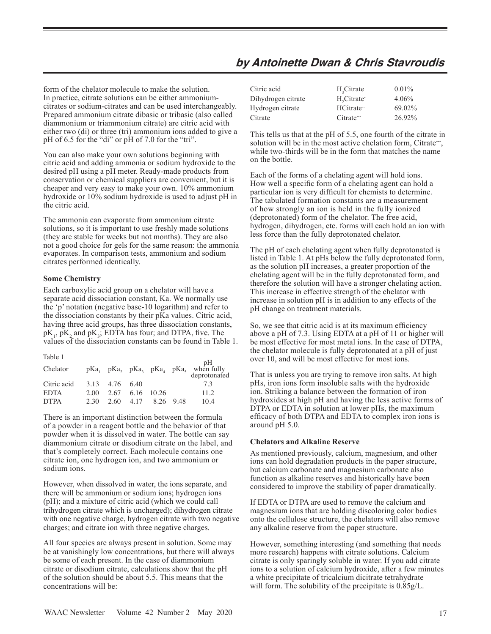## **by Antoinette Dwan & Chris Stavroudis**

form of the chelator molecule to make the solution. In practice, citrate solutions can be either ammoniumcitrates or sodium-citrates and can be used interchangeably. Prepared ammonium citrate dibasic or tribasic (also called diammonium or triammonium citrate) are citric acid with either two (di) or three (tri) ammonium ions added to give a pH of 6.5 for the "di" or pH of 7.0 for the "tri".

You can also make your own solutions beginning with citric acid and adding ammonia or sodium hydroxide to the desired pH using a pH meter. Ready-made products from conservation or chemical suppliers are convenient, but it is cheaper and very easy to make your own. 10% ammonium hydroxide or 10% sodium hydroxide is used to adjust pH in the citric acid.

The ammonia can evaporate from ammonium citrate solutions, so it is important to use freshly made solutions (they are stable for weeks but not months). They are also not a good choice for gels for the same reason: the ammonia evaporates. In comparison tests, ammonium and sodium citrates performed identically.

## **Some Chemistry**

Each carboxylic acid group on a chelator will have a separate acid dissociation constant, Ka. We normally use the 'p' notation (negative base-10 logarithm) and refer to the dissociation constants by their pKa values. Citric acid, having three acid groups, has three dissociation constants,  $pK_1$ ,  $pK_2$  and  $pK_3$ ; EDTA has four; and DTPA, five. The values of the dissociation constants can be found in Table 1.

| Table 1     |      |                      |                     |                                                                 |
|-------------|------|----------------------|---------------------|-----------------------------------------------------------------|
| Chelator    |      |                      |                     | $pKa_1$ $pKa_2$ $pKa_3$ $pKa_4$ $pKa_5$ when fully deprotonated |
| Citric acid |      | 3.13 4.76 6.40       |                     | 73                                                              |
| <b>EDTA</b> |      | 2.00 2.67 6.16 10.26 |                     | 11.2                                                            |
| <b>DTPA</b> | 2.30 |                      | 2.60 4.17 8.26 9.48 | 10.4                                                            |

There is an important distinction between the formula of a powder in a reagent bottle and the behavior of that powder when it is dissolved in water. The bottle can say diammonium citrate or disodium citrate on the label, and that's completely correct. Each molecule contains one citrate ion, one hydrogen ion, and two ammonium or sodium ions.

However, when dissolved in water, the ions separate, and there will be ammonium or sodium ions; hydrogen ions (pH); and a mixture of citric acid (which we could call trihydrogen citrate which is uncharged); dihydrogen citrate with one negative charge, hydrogen citrate with two negative charges; and citrate ion with three negative charges.

All four species are always present in solution. Some may be at vanishingly low concentrations, but there will always be some of each present. In the case of diammonium citrate or disodium citrate, calculations show that the pH of the solution should be about 5.5. This means that the concentrations will be:

| Citric acid        | H, Citrate             | $0.01\%$ |
|--------------------|------------------------|----------|
| Dihydrogen citrate | H <sub>2</sub> Citrate | $4.06\%$ |
| Hydrogen citrate   | HCitrate <sup>-1</sup> | 69.02%   |
| Citrate            | Citrate-               | 26.92%   |

This tells us that at the pH of 5.5, one fourth of the citrate in solution will be in the most active chelation form, Citrate--, while two-thirds will be in the form that matches the name on the bottle.

Each of the forms of a chelating agent will hold ions. How well a specific form of a chelating agent can hold a particular ion is very difficult for chemists to determine. The tabulated formation constants are a measurement of how strongly an ion is held in the fully ionized (deprotonated) form of the chelator. The free acid, hydrogen, dihydrogen, etc. forms will each hold an ion with less force than the fully deprotonated chelator.

The pH of each chelating agent when fully deprotonated is listed in Table 1. At pHs below the fully deprotonated form, as the solution pH increases, a greater proportion of the chelating agent will be in the fully deprotonated form, and therefore the solution will have a stronger chelating action. This increase in effective strength of the chelator with increase in solution pH is in addition to any effects of the pH change on treatment materials.

So, we see that citric acid is at its maximum efficiency above a pH of 7.3. Using EDTA at a pH of 11 or higher will be most effective for most metal ions. In the case of DTPA, the chelator molecule is fully deprotonated at a pH of just over 10, and will be most effective for most ions.

That is unless you are trying to remove iron salts. At high pHs, iron ions form insoluble salts with the hydroxide ion. Striking a balance between the formation of iron hydroxides at high pH and having the less active forms of DTPA or EDTA in solution at lower pHs, the maximum efficacy of both DTPA and EDTA to complex iron ions is around pH 5.0.

## **Chelators and Alkaline Reserve**

As mentioned previously, calcium, magnesium, and other ions can hold degradation products in the paper structure, but calcium carbonate and magnesium carbonate also function as alkaline reserves and historically have been considered to improve the stability of paper dramatically.

If EDTA or DTPA are used to remove the calcium and magnesium ions that are holding discoloring color bodies onto the cellulose structure, the chelators will also remove any alkaline reserve from the paper structure.

However, something interesting (and something that needs more research) happens with citrate solutions. Calcium citrate is only sparingly soluble in water. If you add citrate ions to a solution of calcium hydroxide, after a few minutes a white precipitate of tricalcium dicitrate tetrahydrate will form. The solubility of the precipitate is  $0.85g/L$ .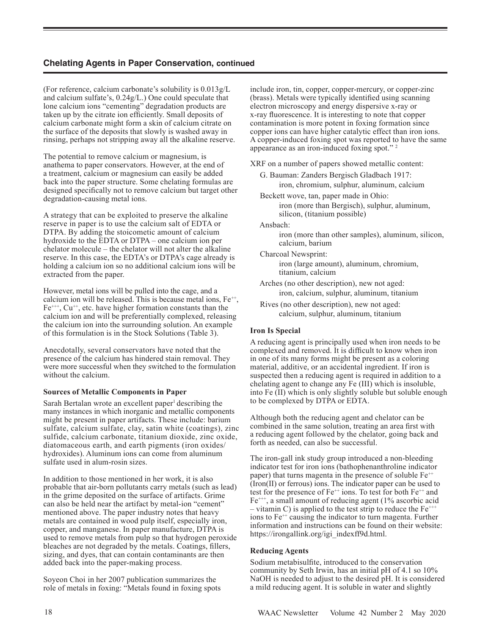(For reference, calcium carbonate's solubility is 0.013g/L and calcium sulfate's, 0.24g/L.) One could speculate that lone calcium ions "cementing" degradation products are taken up by the citrate ion efficiently. Small deposits of calcium carbonate might form a skin of calcium citrate on the surface of the deposits that slowly is washed away in rinsing, perhaps not stripping away all the alkaline reserve.

The potential to remove calcium or magnesium, is anathema to paper conservators. However, at the end of a treatment, calcium or magnesium can easily be added back into the paper structure. Some chelating formulas are designed specifically not to remove calcium but target other degradation-causing metal ions.

A strategy that can be exploited to preserve the alkaline reserve in paper is to use the calcium salt of EDTA or DTPA. By adding the stoicometic amount of calcium hydroxide to the EDTA or DTPA – one calcium ion per chelator molecule – the chelator will not alter the alkaline reserve. In this case, the EDTA's or DTPA's cage already is holding a calcium ion so no additional calcium ions will be extracted from the paper.

However, metal ions will be pulled into the cage, and a calcium ion will be released. This is because metal ions,  $Fe^{++}$ ,  $Fe^{+++}$ ,  $Cu^{++}$ , etc. have higher formation constants than the calcium ion and will be preferentially complexed, releasing the calcium ion into the surrounding solution. An example of this formulation is in the Stock Solutions (Table 3).

Anecdotally, several conservators have noted that the presence of the calcium has hindered stain removal. They were more successful when they switched to the formulation without the calcium.

## **Sources of Metallic Components in Paper**

Sarah Bertalan wrote an excellent paper $\frac{1}{1}$  describing the many instances in which inorganic and metallic components might be present in paper artifacts. These include: barium sulfate, calcium sulfate, clay, satin white (coatings), zinc sulfide, calcium carbonate, titanium dioxide, zinc oxide, diatomaceous earth, and earth pigments (iron oxides/ hydroxides). Aluminum ions can come from aluminum sulfate used in alum-rosin sizes.

In addition to those mentioned in her work, it is also probable that air-born pollutants carry metals (such as lead) in the grime deposited on the surface of artifacts. Grime can also be held near the artifact by metal-ion "cement" mentioned above. The paper industry notes that heavy metals are contained in wood pulp itself, especially iron, copper, and manganese. In paper manufacture, DTPA is used to remove metals from pulp so that hydrogen peroxide bleaches are not degraded by the metals. Coatings, fillers, sizing, and dyes, that can contain contaminants are then added back into the paper-making process.

Soyeon Choi in her 2007 publication summarizes the role of metals in foxing: "Metals found in foxing spots include iron, tin, copper, copper-mercury, or copper-zinc (brass). Metals were typically identified using scanning electron microscopy and energy dispersive x-ray or x-ray fluorescence. It is interesting to note that copper contamination is more potent in foxing formation since copper ions can have higher catalytic effect than iron ions. A copper-induced foxing spot was reported to have the same appearance as an iron-induced foxing spot." 2

XRF on a number of papers showed metallic content:

- G. Bauman: Zanders Bergisch Gladbach 1917: iron, chromium, sulphur, aluminum, calcium
- Beckett wove, tan, paper made in Ohio: iron (more than Bergisch), sulphur, aluminum, silicon, (titanium possible)

Ansbach:

 iron (more than other samples), aluminum, silicon, calcium, barium

Charcoal Newsprint:

 iron (large amount), aluminum, chromium, titanium, calcium

 Arches (no other description), new not aged: iron, calcium, sulphur, aluminum, titanium

 Rives (no other description), new not aged: calcium, sulphur, aluminum, titanium

## **Iron Is Special**

A reducing agent is principally used when iron needs to be complexed and removed. It is difficult to know when iron in one of its many forms might be present as a coloring material, additive, or an accidental ingredient. If iron is suspected then a reducing agent is required in addition to a chelating agent to change any Fe (III) which is insoluble, into Fe (II) which is only slightly soluble but soluble enough to be complexed by DTPA or EDTA.

Although both the reducing agent and chelator can be combined in the same solution, treating an area first with a reducing agent followed by the chelator, going back and forth as needed, can also be successful.

The iron-gall ink study group introduced a non-bleeding indicator test for iron ions (bathophenanthroline indicator paper) that turns magenta in the presence of soluble  $Fe<sup>+</sup>$ (Iron(II) or ferrous) ions. The indicator paper can be used to test for the presence of  $Fe^{++}$  ions. To test for both  $Fe^{++}$  and  $Fe<sup>***</sup>$ , a small amount of reducing agent (1% ascorbic acid – vitamin C) is applied to the test strip to reduce the  $Fe^{++}$ ions to  $Fe^{++}$  causing the indicator to turn magenta. Further information and instructions can be found on their website: https://irongallink.org/igi\_indexff9d.html.

## **Reducing Agents**

Sodium metabisulfite, introduced to the conservation community by Seth Irwin, has an initial pH of 4.1 so 10% NaOH is needed to adjust to the desired pH. It is considered a mild reducing agent. It is soluble in water and slightly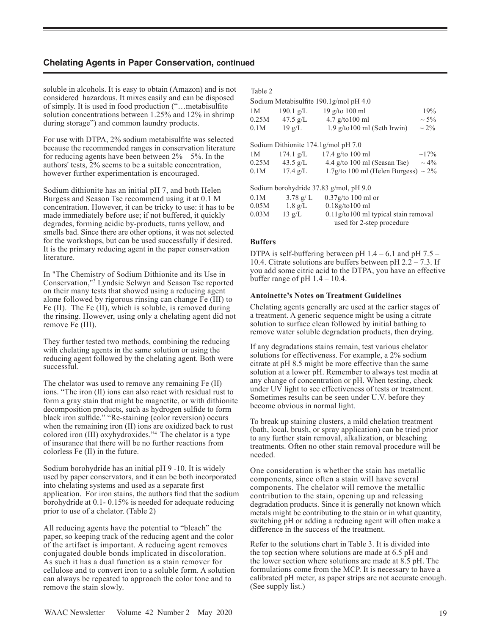soluble in alcohols. It is easy to obtain (Amazon) and is not considered hazardous. It mixes easily and can be disposed of simply. It is used in food production ("…metabisulfite solution concentrations between 1.25% and 12% in shrimp during storage") and common laundry products.

For use with DTPA, 2% sodium metabisulfite was selected because the recommended ranges in conservation literature for reducing agents have been between  $2\% - 5\%$ . In the authors' tests, 2% seems to be a suitable concentration, however further experimentation is encouraged.

Sodium dithionite has an initial pH 7, and both Helen Burgess and Season Tse recommend using it at 0.1 M concentration. However, it can be tricky to use: it has to be made immediately before use; if not buffered, it quickly degrades, forming acidic by-products, turns yellow, and smells bad. Since there are other options, it was not selected for the workshops, but can be used successfully if desired. It is the primary reducing agent in the paper conservation literature.

In "The Chemistry of Sodium Dithionite and its Use in Conservation,"3 Lyndsie Selwyn and Season Tse reported on their many tests that showed using a reducing agent alone followed by rigorous rinsing can change Fe (III) to Fe (II). The Fe (II), which is soluble, is removed during the rinsing. However, using only a chelating agent did not remove Fe (III).

They further tested two methods, combining the reducing with chelating agents in the same solution or using the reducing agent followed by the chelating agent. Both were successful.

The chelator was used to remove any remaining Fe (II) ions. "The iron (II) ions can also react with residual rust to form a gray stain that might be magnetite, or with dithionite decomposition products, such as hydrogen sulfide to form black iron sulfide." "Re-staining (color reversion) occurs when the remaining iron (II) ions are oxidized back to rust colored iron (III) oxyhydroxides."4 The chelator is a type of insurance that there will be no further reactions from colorless Fe (II) in the future.

Sodium borohydride has an initial pH 9 -10. It is widely used by paper conservators, and it can be both incorporated into chelating systems and used as a separate first application. For iron stains, the authors find that the sodium borohydride at 0.1- 0.15% is needed for adequate reducing prior to use of a chelator. (Table 2)

All reducing agents have the potential to "bleach" the paper, so keeping track of the reducing agent and the color of the artifact is important. A reducing agent removes conjugated double bonds implicated in discoloration. As such it has a dual function as a stain remover for cellulose and to convert iron to a soluble form. A solution can always be repeated to approach the color tone and to remove the stain slowly.

| I<br>۰,<br>۰, |  |
|---------------|--|
|---------------|--|

| 1M    | $190.1$ g/L        | Sodium Metabisulfite 190.1g/mol pH 4.0<br>$19$ g/to $100$ ml | 19%        |
|-------|--------------------|--------------------------------------------------------------|------------|
| 0.25M | 47.5 $g/L$         | $4.7$ g/to $100$ ml                                          | $\sim$ 5%  |
| 0.1M  | $19 \text{ g/L}$   | $1.9$ g/to $100$ ml (Seth Irwin)                             | $\sim 2\%$ |
|       |                    | Sodium Dithionite $174.1$ g/mol pH $7.0$                     |            |
| 1M    | $174.1$ g/L        | $17.4$ g/to $100$ ml                                         | $\sim$ 17% |
|       | $0.25M$ 43.5 g/L   | 4.4 g/to 100 ml (Seasan Tse) $\sim$ 4%                       |            |
| 0.1M  | $17.4 \text{ g}/L$ | 1.7g/to 100 ml (Helen Burgess) $\sim$ 2%                     |            |
|       |                    | Sodium borohydride 37.83 g/mol, pH 9.0                       |            |
| 0.1M  | $3.78 \text{ g/L}$ | $0.37$ g/to 100 ml or                                        |            |
| 0.05M | $1.8 \text{ g/L}$  | 0.18g/to100 ml                                               |            |
| 0.03M | $13 \text{ g/L}$   | $0.11$ g/to $100$ ml typical stain removal                   |            |
|       |                    | used for 2-step procedure                                    |            |

#### **Buffers**

DTPA is self-buffering between pH  $1.4 - 6.1$  and pH  $7.5 -$ 10.4. Citrate solutions are buffers between pH 2.2 – 7.3. If you add some citric acid to the DTPA, you have an effective buffer range of  $pH$  1.4 – 10.4.

#### **Antoinette's Notes on Treatment Guidelines**

Chelating agents generally are used at the earlier stages of a treatment. A generic sequence might be using a citrate solution to surface clean followed by initial bathing to remove water soluble degradation products, then drying.

If any degradations stains remain, test various chelator solutions for effectiveness. For example, a 2% sodium citrate at pH 8.5 might be more effective than the same solution at a lower pH. Remember to always test media at any change of concentration or pH. When testing, check under UV light to see effectiveness of tests or treatment. Sometimes results can be seen under U.V. before they become obvious in normal light.

To break up staining clusters, a mild chelation treatment (bath, local, brush, or spray application) can be tried prior to any further stain removal, alkalization, or bleaching treatments. Often no other stain removal procedure will be needed.

One consideration is whether the stain has metallic components, since often a stain will have several components. The chelator will remove the metallic contribution to the stain, opening up and releasing degradation products. Since it is generally not known which metals might be contributing to the stain or in what quantity, switching pH or adding a reducing agent will often make a difference in the success of the treatment.

Refer to the solutions chart in Table 3. It is divided into the top section where solutions are made at 6.5 pH and the lower section where solutions are made at 8.5 pH. The formulations come from the MCP. It is necessary to have a calibrated pH meter, as paper strips are not accurate enough. (See supply list.)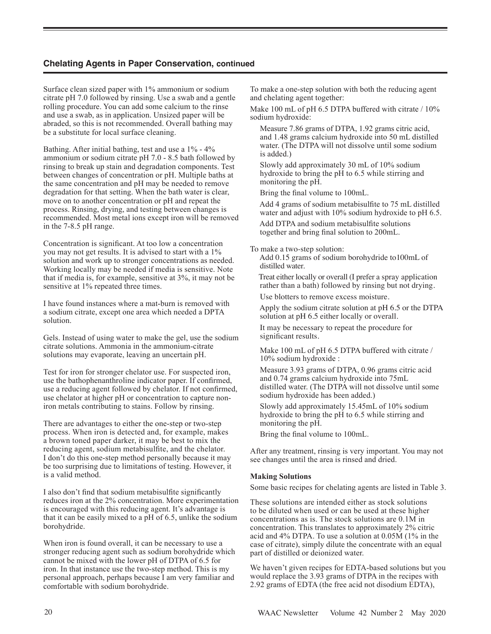Surface clean sized paper with 1% ammonium or sodium citrate pH 7.0 followed by rinsing. Use a swab and a gentle rolling procedure. You can add some calcium to the rinse and use a swab, as in application. Unsized paper will be abraded, so this is not recommended. Overall bathing may be a substitute for local surface cleaning.

Bathing. After initial bathing, test and use a 1% - 4% ammonium or sodium citrate pH 7.0 - 8.5 bath followed by rinsing to break up stain and degradation components. Test between changes of concentration or pH. Multiple baths at the same concentration and pH may be needed to remove degradation for that setting. When the bath water is clear, move on to another concentration or pH and repeat the process. Rinsing, drying, and testing between changes is recommended. Most metal ions except iron will be removed in the 7-8.5 pH range.

Concentration is significant. At too low a concentration you may not get results. It is advised to start with a 1% solution and work up to stronger concentrations as needed. Working locally may be needed if media is sensitive. Note that if media is, for example, sensitive at 3%, it may not be sensitive at 1% repeated three times.

I have found instances where a mat-burn is removed with a sodium citrate, except one area which needed a DPTA solution.

Gels. Instead of using water to make the gel, use the sodium citrate solutions. Ammonia in the ammonium-citrate solutions may evaporate, leaving an uncertain pH.

Test for iron for stronger chelator use. For suspected iron, use the bathophenanthroline indicator paper. If confirmed, use a reducing agent followed by chelator. If not confirmed, use chelator at higher pH or concentration to capture noniron metals contributing to stains. Follow by rinsing.

There are advantages to either the one-step or two-step process. When iron is detected and, for example, makes a brown toned paper darker, it may be best to mix the reducing agent, sodium metabisulfite, and the chelator. I don't do this one-step method personally because it may be too surprising due to limitations of testing. However, it is a valid method.

I also don't find that sodium metabisulfite significantly reduces iron at the 2% concentration. More experimentation is encouraged with this reducing agent. It's advantage is that it can be easily mixed to a pH of 6.5, unlike the sodium borohydride.

When iron is found overall, it can be necessary to use a stronger reducing agent such as sodium borohydride which cannot be mixed with the lower pH of DTPA of 6.5 for iron. In that instance use the two-step method. This is my personal approach, perhaps because I am very familiar and comfortable with sodium borohydride.

To make a one-step solution with both the reducing agent and chelating agent together:

Make 100 mL of pH 6.5 DTPA buffered with citrate / 10% sodium hydroxide:

 Measure 7.86 grams of DTPA, 1.92 grams citric acid, and 1.48 grams calcium hydroxide into 50 mL distilled water. (The DTPA will not dissolve until some sodium is added.)

 Slowly add approximately 30 mL of 10% sodium hydroxide to bring the pH to 6.5 while stirring and monitoring the pH.

Bring the final volume to 100mL.

 Add 4 grams of sodium metabisulfite to 75 mL distilled water and adjust with 10% sodium hydroxide to pH 6.5.

 Add DTPA and sodium metabisulfite solutions together and bring final solution to 200mL.

To make a two-step solution:

 Add 0.15 grams of sodium borohydride to100mL of distilled water.

 Treat either locally or overall (I prefer a spray application rather than a bath) followed by rinsing but not drying.

Use blotters to remove excess moisture.

 Apply the sodium citrate solution at pH 6.5 or the DTPA solution at pH 6.5 either locally or overall.

 It may be necessary to repeat the procedure for significant results.

Make 100 mL of pH 6.5 DTPA buffered with citrate / 10% sodium hydroxide :

 Measure 3.93 grams of DTPA, 0.96 grams citric acid and 0.74 grams calcium hydroxide into 75mL distilled water. (The DTPA will not dissolve until some sodium hydroxide has been added.)

 Slowly add approximately 15.45mL of 10% sodium hydroxide to bring the pH to 6.5 while stirring and monitoring the pH.

Bring the final volume to 100mL.

After any treatment, rinsing is very important. You may not see changes until the area is rinsed and dried.

## **Making Solutions**

Some basic recipes for chelating agents are listed in Table 3.

These solutions are intended either as stock solutions to be diluted when used or can be used at these higher concentrations as is. The stock solutions are 0.1M in concentration. This translates to approximately 2% citric acid and 4% DTPA. To use a solution at 0.05M (1% in the case of citrate), simply dilute the concentrate with an equal part of distilled or deionized water.

We haven't given recipes for EDTA-based solutions but you would replace the 3.93 grams of DTPA in the recipes with 2.92 grams of EDTA (the free acid not disodium EDTA),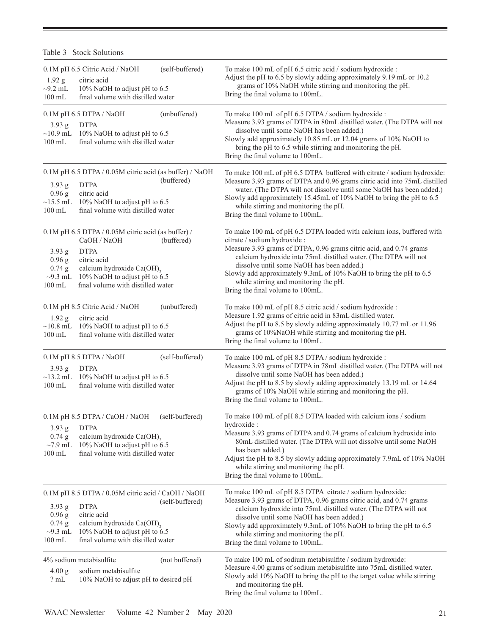| $1.92$ g<br>$\sim$ 9.2 mL<br>$100$ mL                       | 0.1M pH 6.5 Citric Acid / NaOH<br>citric acid<br>10% NaOH to adjust pH to 6.5<br>final volume with distilled water                                                                                            | (self-buffered) | To make 100 mL of pH 6.5 citric acid / sodium hydroxide :<br>Adjust the pH to 6.5 by slowly adding approximately 9.19 mL or 10.2<br>grams of 10% NaOH while stirring and monitoring the pH.<br>Bring the final volume to 100mL.                                                                                                                                                                                                               |
|-------------------------------------------------------------|---------------------------------------------------------------------------------------------------------------------------------------------------------------------------------------------------------------|-----------------|-----------------------------------------------------------------------------------------------------------------------------------------------------------------------------------------------------------------------------------------------------------------------------------------------------------------------------------------------------------------------------------------------------------------------------------------------|
| $3.93$ g<br>$\sim$ 10.9 mL<br>$100$ mL                      | 0.1M pH 6.5 DTPA / NaOH<br><b>DTPA</b><br>10% NaOH to adjust pH to 6.5<br>final volume with distilled water                                                                                                   | (unbuffered)    | To make 100 mL of pH 6.5 DTPA / sodium hydroxide :<br>Measure 3.93 grams of DTPA in 80mL distilled water. (The DTPA will not<br>dissolve until some NaOH has been added.)<br>Slowly add approximately 10.85 mL or 12.04 grams of 10% NaOH to<br>bring the pH to 6.5 while stirring and monitoring the pH.<br>Bring the final volume to 100mL.                                                                                                 |
| $3.93$ g<br>0.96 g<br>$\sim$ 15.5 mL<br>$100 \text{ mL}$    | 0.1M pH 6.5 DTPA / 0.05M citric acid (as buffer) / NaOH<br><b>DTPA</b><br>citric acid<br>10% NaOH to adjust pH to 6.5<br>final volume with distilled water                                                    | (buffered)      | To make 100 mL of pH 6.5 DTPA buffered with citrate / sodium hydroxide:<br>Measure 3.93 grams of DTPA and 0.96 grams citric acid into 75mL distilled<br>water. (The DTPA will not dissolve until some NaOH has been added.)<br>Slowly add approximately 15.45mL of 10% NaOH to bring the pH to 6.5<br>while stirring and monitoring the pH.<br>Bring the final volume to 100mL.                                                               |
| 3.93 g<br>0.96 g<br>$0.74$ g<br>$\sim$ 9.3 mL<br>$100$ mL   | 0.1M pH 6.5 DTPA / 0.05M citric acid (as buffer) /<br>CaOH / NaOH<br><b>DTPA</b><br>citric acid<br>calcium hydroxide Ca(OH) <sub>2</sub><br>10% NaOH to adjust pH to 6.5<br>final volume with distilled water | (buffered)      | To make 100 mL of pH 6.5 DTPA loaded with calcium ions, buffered with<br>citrate / sodium hydroxide :<br>Measure 3.93 grams of DTPA, 0.96 grams citric acid, and 0.74 grams<br>calcium hydroxide into 75mL distilled water. (The DTPA will not<br>dissolve until some NaOH has been added.)<br>Slowly add approximately 9.3mL of 10% NaOH to bring the pH to 6.5<br>while stirring and monitoring the pH.<br>Bring the final volume to 100mL. |
| $1.92$ g<br>$\sim$ 10.8 mL<br>$100 \text{ mL}$              | 0.1M pH 8.5 Citric Acid / NaOH<br>citric acid<br>10% NaOH to adjust pH to 6.5<br>final volume with distilled water                                                                                            | (unbuffered)    | To make 100 mL of pH 8.5 citric acid / sodium hydroxide :<br>Measure 1.92 grams of citric acid in 83mL distilled water.<br>Adjust the pH to 8.5 by slowly adding approximately 10.77 mL or 11.96<br>grams of 10%NaOH while stirring and monitoring the pH.<br>Bring the final volume to 100mL.                                                                                                                                                |
| 3.93 g<br>$\sim$ 13.2 mL<br>$100 \text{ mL}$                | 0.1M pH 8.5 DTPA / NaOH<br><b>DTPA</b><br>10% NaOH to adjust pH to 6.5<br>final volume with distilled water                                                                                                   | (self-buffered) | To make 100 mL of pH 8.5 DTPA / sodium hydroxide :<br>Measure 3.93 grams of DTPA in 78mL distilled water. (The DTPA will not<br>dissolve until some NaOH has been added.)<br>Adjust the pH to 8.5 by slowly adding approximately 13.19 mL or 14.64<br>grams of 10% NaOH while stirring and monitoring the pH.<br>Bring the final volume to 100mL.                                                                                             |
| 3.93 g<br>$0.74$ g<br>$\sim$ 7.9 mL<br>$100$ mL             | 0.1M pH 8.5 DTPA / CaOH / NaOH<br><b>DTPA</b><br>calcium hydroxide Ca(OH),<br>10% NaOH to adjust pH to 6.5<br>final volume with distilled water                                                               | (self-buffered) | To make 100 mL of pH 8.5 DTPA loaded with calcium ions / sodium<br>hydroxide:<br>Measure 3.93 grams of DTPA and 0.74 grams of calcium hydroxide into<br>80mL distilled water. (The DTPA will not dissolve until some NaOH<br>has been added.)<br>Adjust the pH to 8.5 by slowly adding approximately 7.9mL of 10% NaOH<br>while stirring and monitoring the pH.<br>Bring the final volume to 100mL.                                           |
| $3.93$ g<br>$0.96$ g<br>0.74 g<br>$\sim$ 9.3 mL<br>$100$ mL | 0.1M pH 8.5 DTPA / 0.05M citric acid / CaOH / NaOH<br><b>DTPA</b><br>citric acid<br>calcium hydroxide Ca(OH) <sub>2</sub><br>10% NaOH to adjust pH to 6.5<br>final volume with distilled water                | (self-buffered) | To make 100 mL of pH 8.5 DTPA citrate / sodium hydroxide:<br>Measure 3.93 grams of DTPA, 0.96 grams citric acid, and 0.74 grams<br>calcium hydroxide into 75mL distilled water. (The DTPA will not<br>dissolve until some NaOH has been added.)<br>Slowly add approximately 9.3mL of 10% NaOH to bring the pH to 6.5<br>while stirring and monitoring the pH.<br>Bring the final volume to 100mL.                                             |
| 4.00 <sub>g</sub><br>?mL                                    | 4% sodium metabisulfite<br>sodium metabisulfite<br>10% NaOH to adjust pH to desired pH                                                                                                                        | (not buffered)  | To make 100 mL of sodium metabisulfite / sodium hydroxide:<br>Measure 4.00 grams of sodium metabisulfite into 75mL distilled water.<br>Slowly add 10% NaOH to bring the pH to the target value while stirring<br>and monitoring the pH.<br>Bring the final volume to 100mL.                                                                                                                                                                   |

 $\sim$